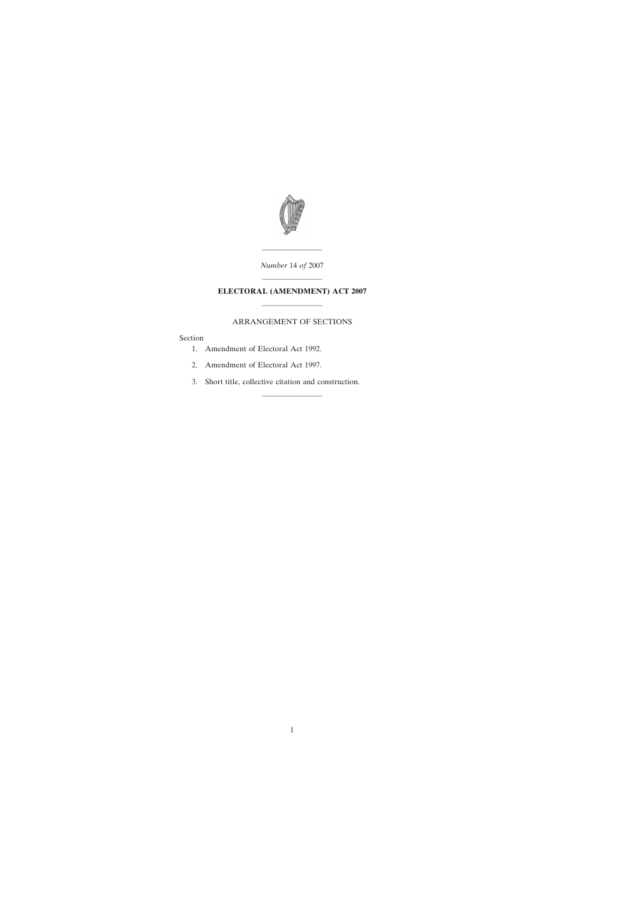

———————— *Number* 14 *of* 2007

## ———————— **ELECTORAL (AMENDMENT) ACT 2007** ————————

## ARRANGEMENT OF SECTIONS

————————

## Section

- [1. Amendment of Electoral Act 1992.](#page-2-0)
- [2. Amendment of Electoral Act 1997.](#page-11-0)
- [3. Short title, collective citation and construction.](#page-11-0)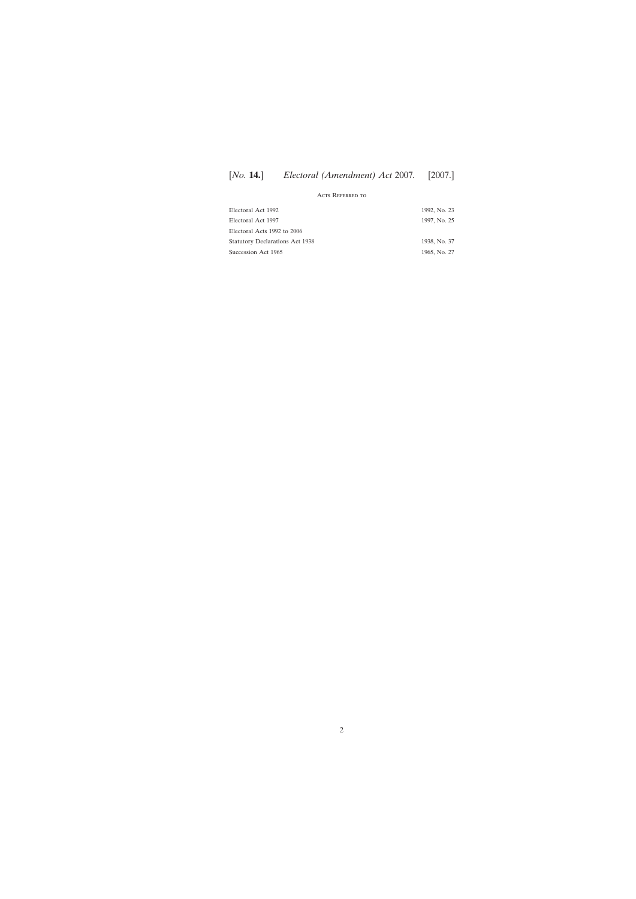# [*No.* **14.**] [2007.] *Electoral (Amendment) Act* 2007*.*

### Acts Referred to

| Electoral Act 1992                     | 1992, No. 23 |
|----------------------------------------|--------------|
| Electoral Act 1997                     | 1997, No. 25 |
| Electoral Acts 1992 to 2006            |              |
| <b>Statutory Declarations Act 1938</b> | 1938, No. 37 |
| Succession Act 1965                    | 1965, No. 27 |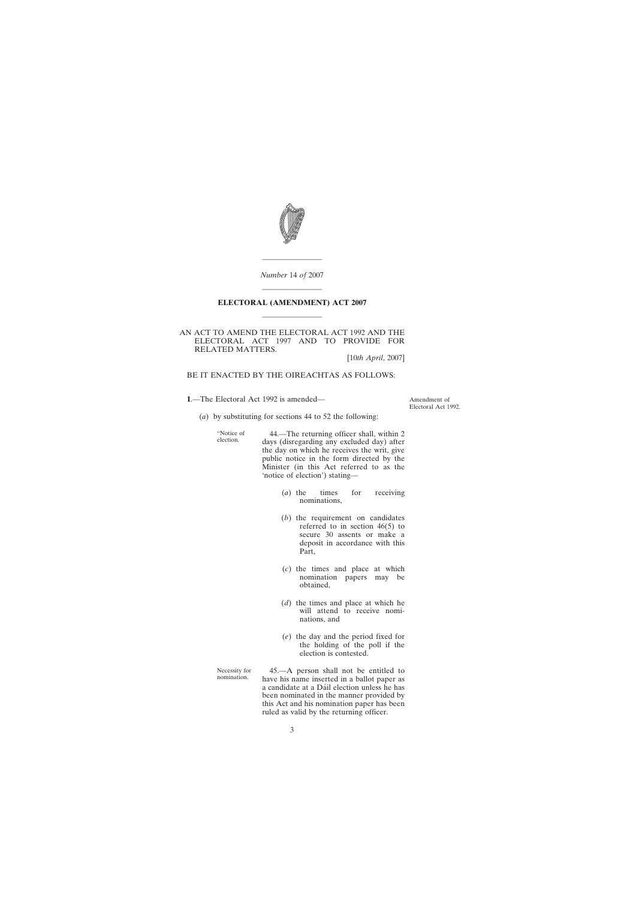<span id="page-2-0"></span>

*Number* 14 *of* 2007

————————

# ———————— **ELECTORAL (AMENDMENT) ACT 2007** ————————

#### AN ACT TO AMEND THE ELECTORAL ACT 1992 AND THE ELECTORAL ACT 1997 AND TO PROVIDE FOR RELATED MATTERS.

[10*th April*, 2007]

BE IT ENACTED BY THE OIREACHTAS AS FOLLOWS:

**1**.—The Electoral Act 1992 is amended—

Amendment of Electoral Act 1992.

(*a*) by substituting for sections 44 to 52 the following:

"Notice of<br>election.

election. 44.—The returning officer shall, within 2 days (disregarding any excluded day) after the day on which he receives the writ, give public notice in the form directed by the Minister (in this Act referred to as the 'notice of election') stating—

- (*a*) the times for receiving nominations,
- (*b*) the requirement on candidates referred to in section 46(5) to secure 30 assents or make a deposit in accordance with this Part,
- (*c*) the times and place at which nomination papers may be obtained,
- (*d*) the times and place at which he will attend to receive nominations, and
- (*e*) the day and the period fixed for the holding of the poll if the election is contested.

Necessity for nomination. 45.—A person shall not be entitled to have his name inserted in a ballot paper as a candidate at a Dáil election unless he has been nominated in the manner provided by this Act and his nomination paper has been ruled as valid by the returning officer.

3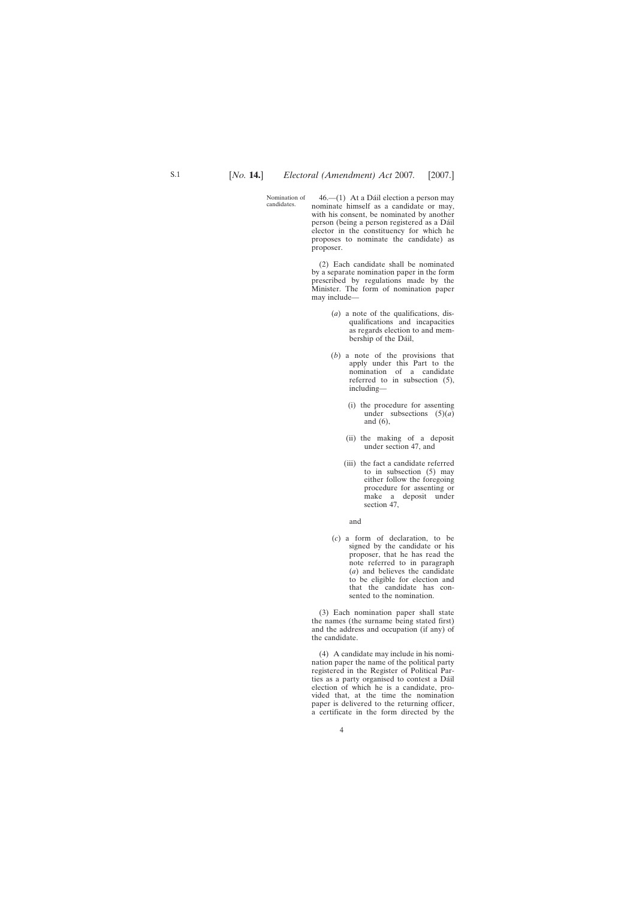Nomination of<br>candidates.

46.—(1) At a Dáil election a person may nominate himself as a candidate or may, with his consent, be nominated by another person (being a person registered as a Dáil elector in the constituency for which he proposes to nominate the candidate) as proposer.

(2) Each candidate shall be nominated by a separate nomination paper in the form prescribed by regulations made by the Minister. The form of nomination paper may include—

- (*a*) a note of the qualifications, disqualifications and incapacities as regards election to and membership of the Dáil,
- (*b*) a note of the provisions that apply under this Part to the nomination of a candidate referred to in subsection (5), including—
	- (i) the procedure for assenting under subsections (5)(*a*) and (6),
	- (ii) the making of a deposit under section 47, and
	- (iii) the fact a candidate referred to in subsection (5) may either follow the foregoing procedure for assenting or make a deposit under section 47,

and

(*c*) a form of declaration, to be signed by the candidate or his proposer, that he has read the note referred to in paragraph (*a*) and believes the candidate to be eligible for election and that the candidate has consented to the nomination.

(3) Each nomination paper shall state the names (the surname being stated first) and the address and occupation (if any) of the candidate.

(4) A candidate may include in his nomination paper the name of the political party registered in the Register of Political Parties as a party organised to contest a Dáil election of which he is a candidate, provided that, at the time the nomination paper is delivered to the returning officer, a certificate in the form directed by the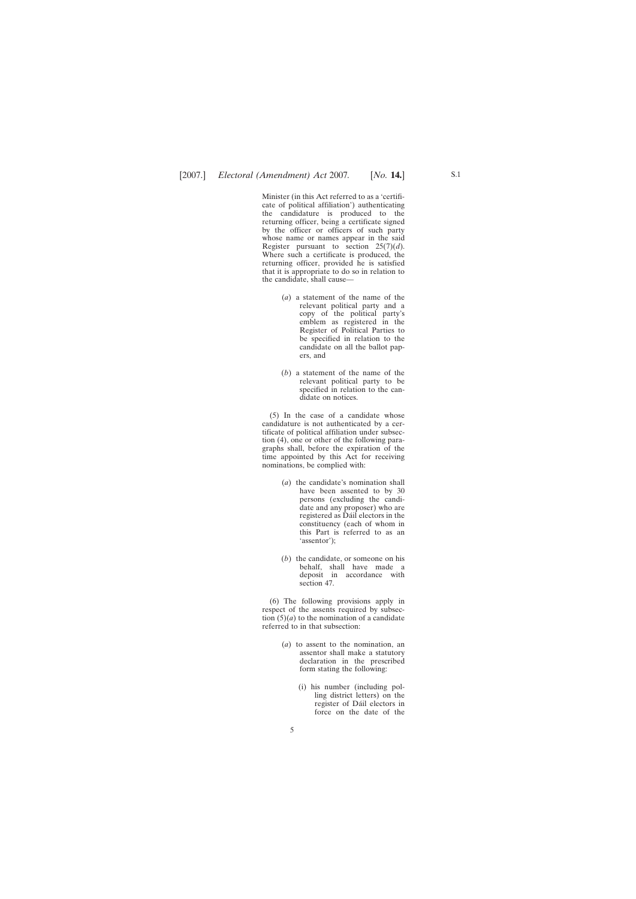Minister (in this Act referred to as a 'certificate of political affiliation') authenticating the candidature is produced to the returning officer, being a certificate signed by the officer or officers of such party whose name or names appear in the said Register pursuant to section 25(7)(*d*). Where such a certificate is produced, the returning officer, provided he is satisfied that it is appropriate to do so in relation to the candidate, shall cause—

- (*a*) a statement of the name of the relevant political party and a copy of the political party's emblem as registered in the Register of Political Parties to be specified in relation to the candidate on all the ballot papers, and
- (*b*) a statement of the name of the relevant political party to be specified in relation to the candidate on notices.

(5) In the case of a candidate whose candidature is not authenticated by a certificate of political affiliation under subsection (4), one or other of the following paragraphs shall, before the expiration of the time appointed by this Act for receiving nominations, be complied with:

- (*a*) the candidate's nomination shall have been assented to by 30 persons (excluding the candidate and any proposer) who are registered as Dáil electors in the constituency (each of whom in this Part is referred to as an 'assentor');
- (*b*) the candidate, or someone on his behalf, shall have made a deposit in accordance with section 47.

(6) The following provisions apply in respect of the assents required by subsection  $(5)(a)$  to the nomination of a candidate referred to in that subsection:

- (*a*) to assent to the nomination, an assentor shall make a statutory declaration in the prescribed form stating the following:
	- (i) his number (including polling district letters) on the register of Dáil electors in force on the date of the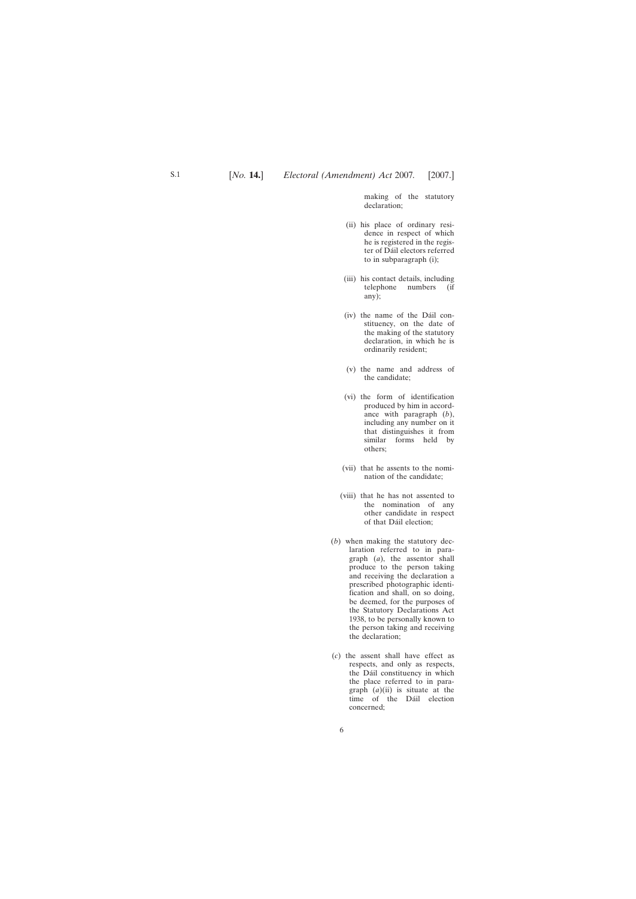making of the statutory declaration;

- (ii) his place of ordinary residence in respect of which he is registered in the register of Dáil electors referred to in subparagraph (i);
- (iii) his contact details, including telephone numbers (if any);
- (iv) the name of the Dáil constituency, on the date of the making of the statutory declaration, in which he is ordinarily resident;
- (v) the name and address of the candidate;
- (vi) the form of identification produced by him in accordance with paragraph (*b*), including any number on it that distinguishes it from similar forms held by others;
- (vii) that he assents to the nomination of the candidate;
- (viii) that he has not assented to the nomination of any other candidate in respect of that Dáil election;
- (*b*) when making the statutory declaration referred to in paragraph (*a*), the assentor shall produce to the person taking and receiving the declaration a prescribed photographic identification and shall, on so doing, be deemed, for the purposes of the Statutory Declarations Act 1938, to be personally known to the person taking and receiving the declaration;
- (*c*) the assent shall have effect as respects, and only as respects, the Dáil constituency in which the place referred to in paragraph (*a*)(ii) is situate at the time of the Dáil election concerned;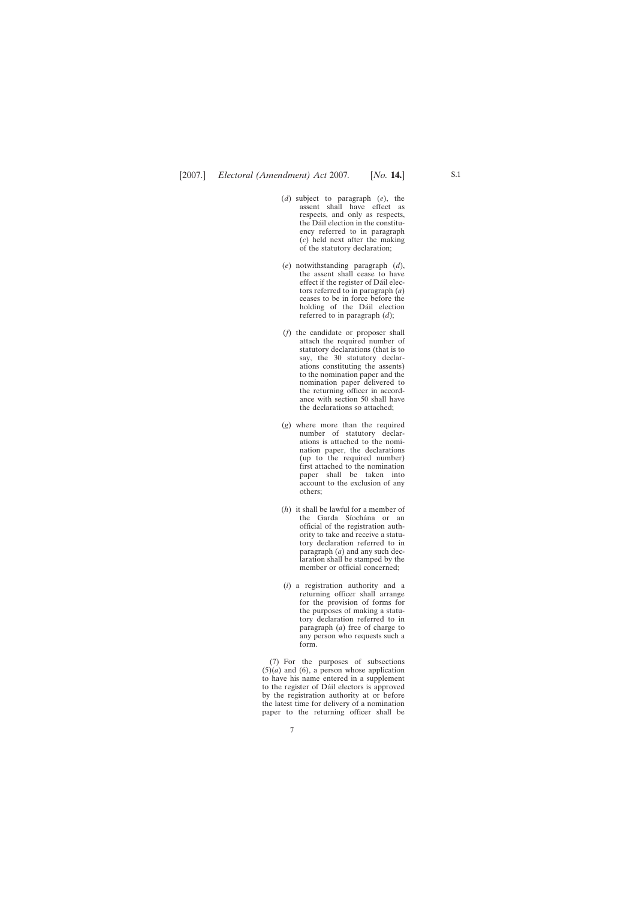- (*d*) subject to paragraph (*e*), the assent shall have effect as respects, and only as respects, the Dáil election in the constituency referred to in paragraph (*c*) held next after the making of the statutory declaration;
- (*e*) notwithstanding paragraph (*d*), the assent shall cease to have effect if the register of Dáil electors referred to in paragraph (*a*) ceases to be in force before the holding of the Dáil election referred to in paragraph (*d*);
- (*f*) the candidate or proposer shall attach the required number of statutory declarations (that is to say, the 30 statutory declarations constituting the assents) to the nomination paper and the nomination paper delivered to the returning officer in accordance with section 50 shall have the declarations so attached;
- (*g*) where more than the required number of statutory declarations is attached to the nomination paper, the declarations (up to the required number) first attached to the nomination paper shall be taken into account to the exclusion of any others;
- (*h*) it shall be lawful for a member of the Garda Síochána or an official of the registration authority to take and receive a statutory declaration referred to in paragraph (*a*) and any such declaration shall be stamped by the member or official concerned;
- (*i*) a registration authority and a returning officer shall arrange for the provision of forms for the purposes of making a statutory declaration referred to in paragraph (*a*) free of charge to any person who requests such a form.

(7) For the purposes of subsections  $(5)(a)$  and  $(6)$ , a person whose application to have his name entered in a supplement to the register of Dáil electors is approved by the registration authority at or before the latest time for delivery of a nomination paper to the returning officer shall be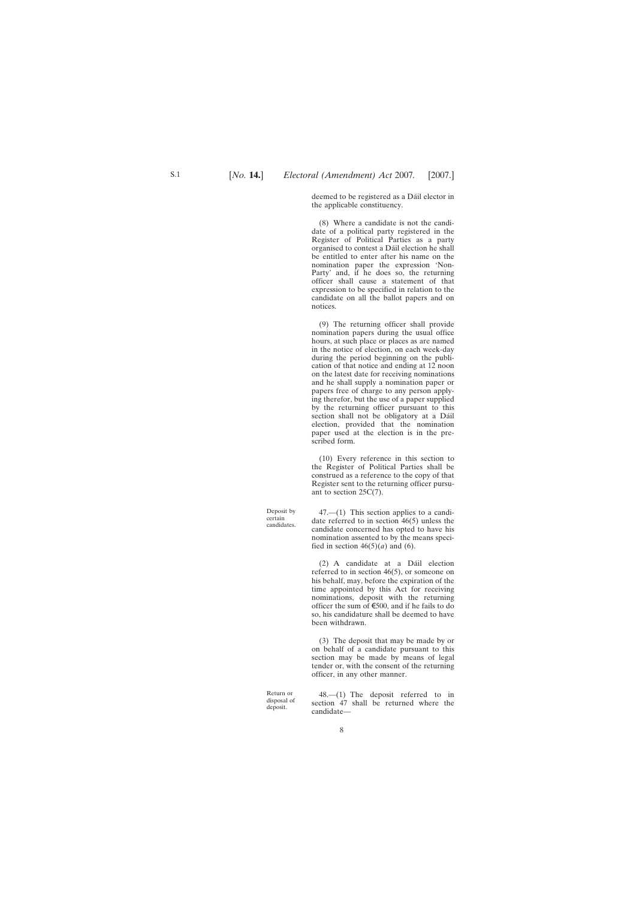deemed to be registered as a Dáil elector in the applicable constituency.

(8) Where a candidate is not the candidate of a political party registered in the Register of Political Parties as a party organised to contest a Dáil election he shall be entitled to enter after his name on the nomination paper the expression 'Non-Party' and, if he does so, the returning officer shall cause a statement of that expression to be specified in relation to the candidate on all the ballot papers and on notices.

(9) The returning officer shall provide nomination papers during the usual office hours, at such place or places as are named in the notice of election, on each week-day during the period beginning on the publication of that notice and ending at 12 noon on the latest date for receiving nominations and he shall supply a nomination paper or papers free of charge to any person applying therefor, but the use of a paper supplied by the returning officer pursuant to this section shall not be obligatory at a Dáil election, provided that the nomination paper used at the election is in the prescribed form.

(10) Every reference in this section to the Register of Political Parties shall be construed as a reference to the copy of that Register sent to the returning officer pursuant to section 25C(7).

47.—(1) This section applies to a candidate referred to in section 46(5) unless the candidate concerned has opted to have his nomination assented to by the means specified in section  $46(5)(a)$  and (6).

 $(2)$  A candidate at a Dáil election referred to in section 46(5), or someone on his behalf, may, before the expiration of the time appointed by this Act for receiving nominations, deposit with the returning officer the sum of  $\epsilon$ 500, and if he fails to do so, his candidature shall be deemed to have been withdrawn.

(3) The deposit that may be made by or on behalf of a candidate pursuant to this section may be made by means of legal tender or, with the consent of the returning officer, in any other manner.

48.—(1) The deposit referred to in section 47 shall be returned where the

Return or disposal of deposit.

Deposit by certain candidates.

S.1

candidate—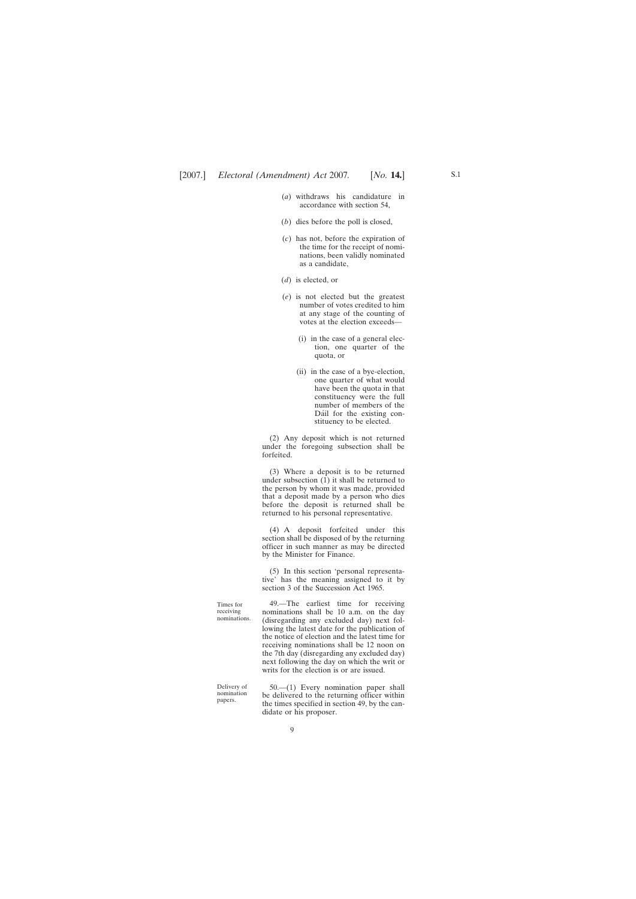- (*a*) withdraws his candidature in accordance with section 54,
- (*b*) dies before the poll is closed,
- (*c*) has not, before the expiration of the time for the receipt of nominations, been validly nominated as a candidate,
- (*d*) is elected, or
- (*e*) is not elected but the greatest number of votes credited to him at any stage of the counting of votes at the election exceeds—
	- (i) in the case of a general election, one quarter of the quota, or
	- (ii) in the case of a bye-election, one quarter of what would have been the quota in that constituency were the full number of members of the Dáil for the existing constituency to be elected.

(2) Any deposit which is not returned under the foregoing subsection shall be forfeited.

(3) Where a deposit is to be returned under subsection  $(1)$  it shall be returned to the person by whom it was made, provided that a deposit made by a person who dies before the deposit is returned shall be returned to his personal representative.

(4) A deposit forfeited under this section shall be disposed of by the returning officer in such manner as may be directed by the Minister for Finance.

(5) In this section 'personal representative' has the meaning assigned to it by section 3 of the Succession Act 1965.

49.—The earliest time for receiving nominations shall be 10 a.m. on the day (disregarding any excluded day) next following the latest date for the publication of the notice of election and the latest time for receiving nominations shall be 12 noon on the 7th day (disregarding any excluded day) next following the day on which the writ or writs for the election is or are issued.

Delivery of nomination papers.

Times for receiving nominations.

> 50.—(1) Every nomination paper shall be delivered to the returning officer within the times specified in section 49, by the candidate or his proposer.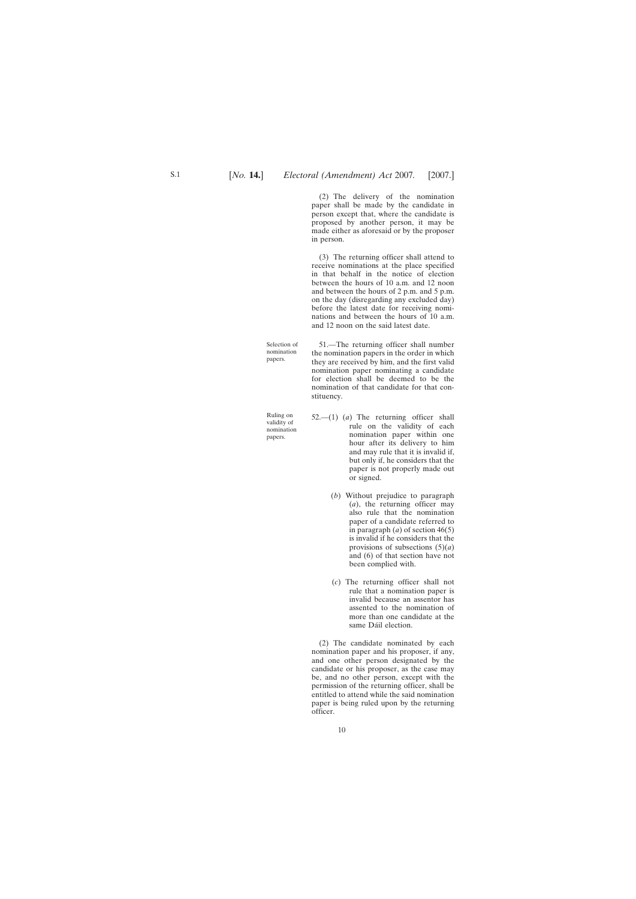(2) The delivery of the nomination paper shall be made by the candidate in person except that, where the candidate is proposed by another person, it may be made either as aforesaid or by the proposer in person.

(3) The returning officer shall attend to receive nominations at the place specified in that behalf in the notice of election between the hours of 10 a.m. and 12 noon and between the hours of 2 p.m. and 5 p.m. on the day (disregarding any excluded day) before the latest date for receiving nominations and between the hours of 10 a.m. and 12 noon on the said latest date.

51.—The returning officer shall number the nomination papers in the order in which they are received by him, and the first valid nomination paper nominating a candidate for election shall be deemed to be the nomination of that candidate for that constituency.

- 52.—(1) (*a*) The returning officer shall rule on the validity of each nomination paper within one hour after its delivery to him and may rule that it is invalid if, but only if, he considers that the paper is not properly made out or signed.
	- (*b*) Without prejudice to paragraph (*a*), the returning officer may also rule that the nomination paper of a candidate referred to in paragraph (*a*) of section 46(5) is invalid if he considers that the provisions of subsections (5)(*a*) and (6) of that section have not been complied with.
	- (*c*) The returning officer shall not rule that a nomination paper is invalid because an assentor has assented to the nomination of more than one candidate at the same Dáil election.

(2) The candidate nominated by each nomination paper and his proposer, if any, and one other person designated by the candidate or his proposer, as the case may be, and no other person, except with the permission of the returning officer, shall be entitled to attend while the said nomination paper is being ruled upon by the returning officer.

Selection of nomination papers.

Ruling on validity of nomination papers.

S.1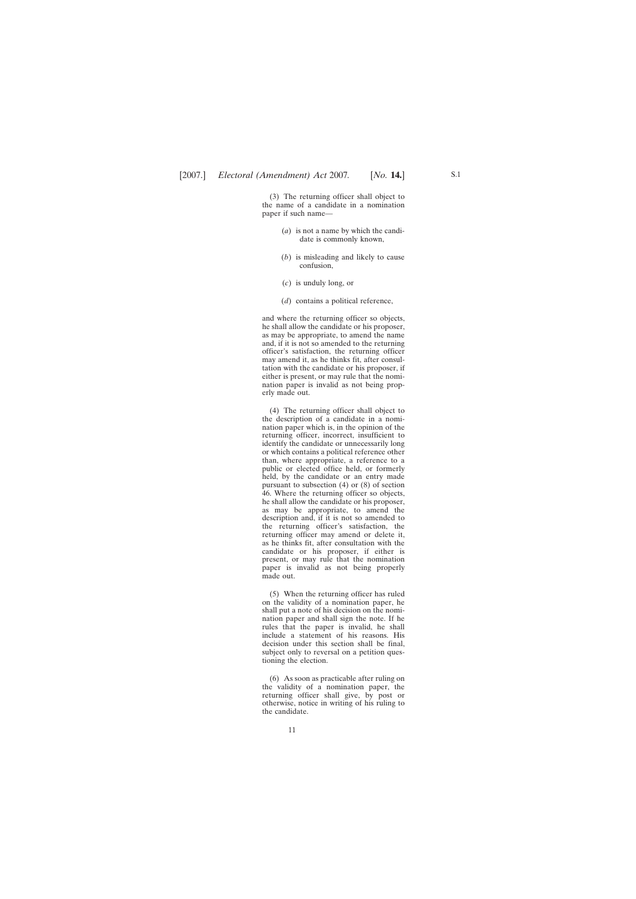(3) The returning officer shall object to the name of a candidate in a nomination paper if such name—

- (*a*) is not a name by which the candidate is commonly known,
- (*b*) is misleading and likely to cause confusion,
- (*c*) is unduly long, or
- (*d*) contains a political reference,

and where the returning officer so objects, he shall allow the candidate or his proposer, as may be appropriate, to amend the name and, if it is not so amended to the returning officer's satisfaction, the returning officer may amend it, as he thinks fit, after consultation with the candidate or his proposer, if either is present, or may rule that the nomination paper is invalid as not being properly made out.

(4) The returning officer shall object to the description of a candidate in a nomination paper which is, in the opinion of the returning officer, incorrect, insufficient to identify the candidate or unnecessarily long or which contains a political reference other than, where appropriate, a reference to a public or elected office held, or formerly held, by the candidate or an entry made pursuant to subsection (4) or (8) of section 46. Where the returning officer so objects, he shall allow the candidate or his proposer, as may be appropriate, to amend the description and, if it is not so amended to the returning officer's satisfaction, the returning officer may amend or delete it, as he thinks fit, after consultation with the candidate or his proposer, if either is present, or may rule that the nomination paper is invalid as not being properly made out.

(5) When the returning officer has ruled on the validity of a nomination paper, he shall put a note of his decision on the nomination paper and shall sign the note. If he rules that the paper is invalid, he shall include a statement of his reasons. His decision under this section shall be final, subject only to reversal on a petition questioning the election.

(6) As soon as practicable after ruling on the validity of a nomination paper, the returning officer shall give, by post or otherwise, notice in writing of his ruling to the candidate.